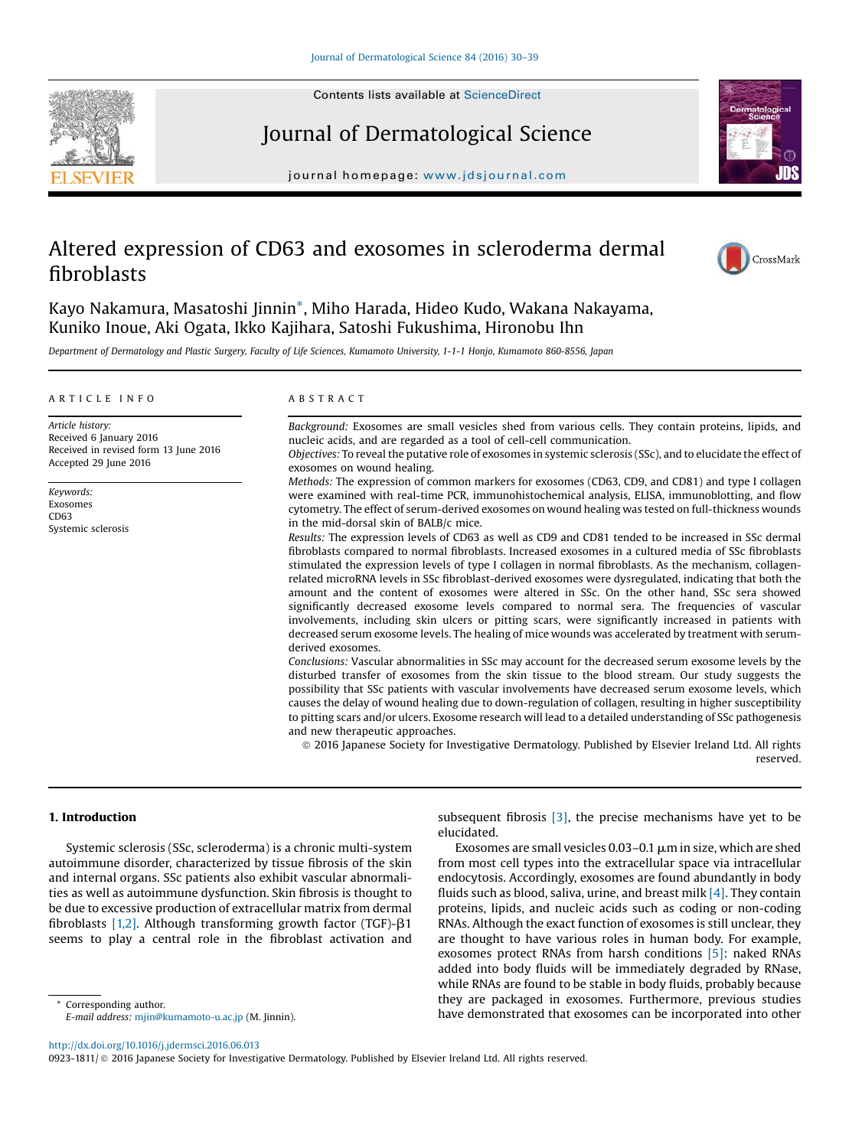Contents lists available at [ScienceDirect](http://www.sciencedirect.com/science/journal/09231811/)



# Journal of Dermatological Science

journal homepage: <www.jdsjournal.com>

# Altered expression of CD63 and exosomes in scleroderma dermal fibroblasts



Kayo Nakamura, Masatoshi Jinnin\*, Miho Harada, Hideo Kudo, Wakana Nakayama, Kuniko Inoue, Aki Ogata, Ikko Kajihara, Satoshi Fukushima, Hironobu Ihn

Department of Dermatology and Plastic Surgery, Faculty of Life Sciences, Kumamoto University, 1-1-1 Honjo, Kumamoto 860-8556, Japan

#### A R T I C L E I N F O

Accepted 29 June 2016

Systemic sclerosis

Received in revised form 13 June 2016

Article history: Received 6 January 2016

Keywords: Exosomes CD63

# A B S T R A C T

Background: Exosomes are small vesicles shed from various cells. They contain proteins, lipids, and nucleic acids, and are regarded as a tool of cell-cell communication.

Objectives: To revealthe putative role of exosomes in systemic sclerosis (SSc), and to elucidate the effect of exosomes on wound healing.

Methods: The expression of common markers for exosomes (CD63, CD9, and CD81) and type I collagen were examined with real-time PCR, immunohistochemical analysis, ELISA, immunoblotting, and flow cytometry. The effect of serum-derived exosomes on wound healing was tested on full-thickness wounds in the mid-dorsal skin of BALB/c mice.

Results: The expression levels of CD63 as well as CD9 and CD81 tended to be increased in SSc dermal fibroblasts compared to normal fibroblasts. Increased exosomes in a cultured media of SSc fibroblasts stimulated the expression levels of type I collagen in normal fibroblasts. As the mechanism, collagenrelated microRNA levels in SSc fibroblast-derived exosomes were dysregulated, indicating that both the amount and the content of exosomes were altered in SSc. On the other hand, SSc sera showed significantly decreased exosome levels compared to normal sera. The frequencies of vascular involvements, including skin ulcers or pitting scars, were significantly increased in patients with decreased serum exosome levels. The healing of mice wounds was accelerated by treatment with serumderived exosomes.

Conclusions: Vascular abnormalities in SSc may account for the decreased serum exosome levels by the disturbed transfer of exosomes from the skin tissue to the blood stream. Our study suggests the possibility that SSc patients with vascular involvements have decreased serum exosome levels, which causes the delay of wound healing due to down-regulation of collagen, resulting in higher susceptibility to pitting scars and/or ulcers. Exosome research will lead to a detailed understanding of SSc pathogenesis and new therapeutic approaches.

ã 2016 Japanese Society for Investigative Dermatology. Published by Elsevier Ireland Ltd. All rights reserved.

## 1. Introduction

Systemic sclerosis (SSc, scleroderma) is a chronic multi-system autoimmune disorder, characterized by tissue fibrosis of the skin and internal organs. SSc patients also exhibit vascular abnormalities as well as autoimmune dysfunction. Skin fibrosis is thought to be due to excessive production of extracellular matrix from dermal fibroblasts  $[1,2]$ . Although transforming growth factor (TGF)- $\beta$ 1 seems to play a central role in the fibroblast activation and

E-mail address: [mjin@kumamoto-u.ac.jp](mailto:mjin@kumamoto-u.ac.jp) (M. Jinnin).

subsequent fibrosis  $[3]$ , the precise mechanisms have yet to be elucidated.

Exosomes are small vesicles 0.03–0.1  $\mu$ m in size, which are shed from most cell types into the extracellular space via intracellular endocytosis. Accordingly, exosomes are found abundantly in body fluids such as blood, saliva, urine, and breast milk  $[4]$ . They contain proteins, lipids, and nucleic acids such as coding or non-coding RNAs. Although the exact function of exosomes is still unclear, they are thought to have various roles in human body. For example, exosomes protect RNAs from harsh conditions [\[5\]](#page-9-0): naked RNAs added into body fluids will be immediately degraded by RNase, while RNAs are found to be stable in body fluids, probably because they are packaged in exosomes. Furthermore, previous studies E-mail address: min@kumamoto-u.ac.ip (M. linnin).<br>F-mail address: min@kumamoto-u.ac.ip (M. linnin). The same of the second be incorporated into other the second

<http://dx.doi.org/10.1016/j.jdermsci.2016.06.013>

0923-1811/ @ 2016 Japanese Society for Investigative Dermatology. Published by Elsevier Ireland Ltd. All rights reserved.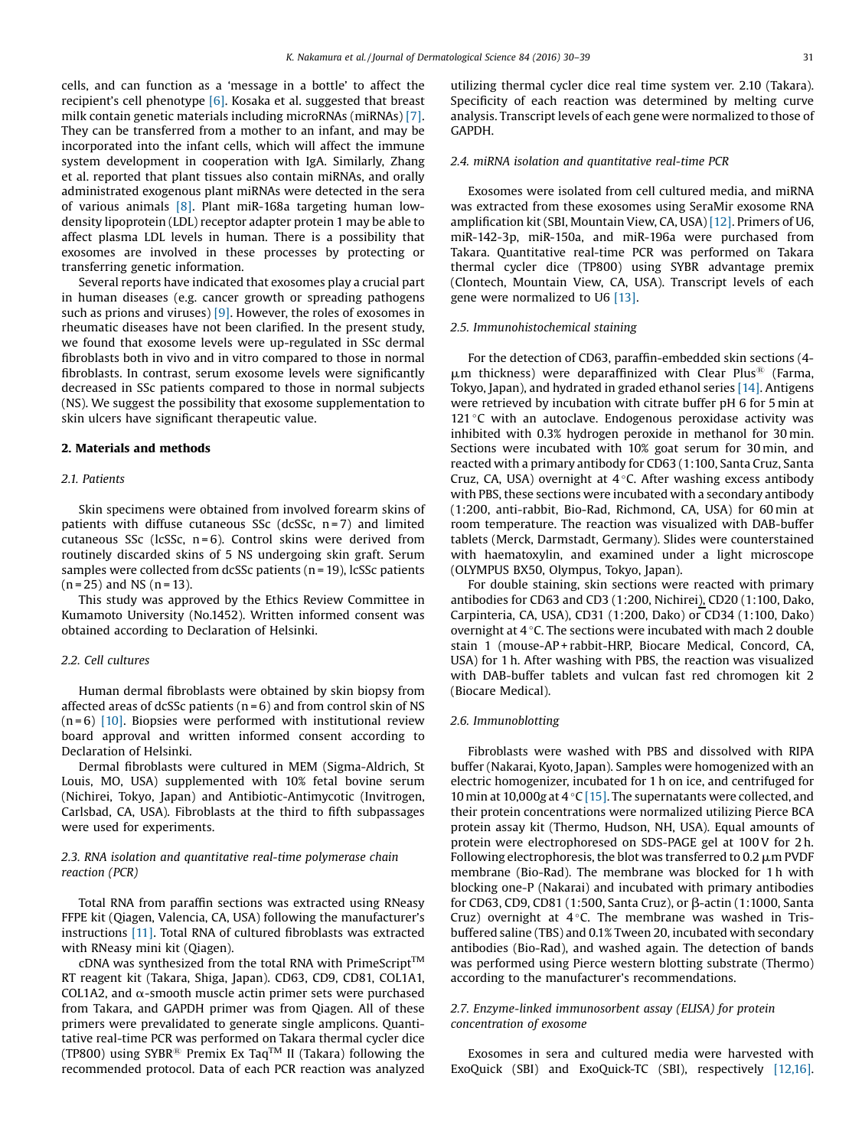cells, and can function as a 'message in a bottle' to affect the recipient's cell phenotype [\[6\]](#page-9-0). Kosaka et al. suggested that breast milk contain genetic materials including microRNAs (miRNAs) [\[7\]](#page-9-0). They can be transferred from a mother to an infant, and may be incorporated into the infant cells, which will affect the immune system development in cooperation with IgA. Similarly, Zhang et al. reported that plant tissues also contain miRNAs, and orally administrated exogenous plant miRNAs were detected in the sera of various animals [\[8\].](#page-9-0) Plant miR-168a targeting human lowdensity lipoprotein (LDL) receptor adapter protein 1 may be able to affect plasma LDL levels in human. There is a possibility that exosomes are involved in these processes by protecting or transferring genetic information.

Several reports have indicated that exosomes play a crucial part in human diseases (e.g. cancer growth or spreading pathogens such as prions and viruses) [\[9\]](#page-9-0). However, the roles of exosomes in rheumatic diseases have not been clarified. In the present study, we found that exosome levels were up-regulated in SSc dermal fibroblasts both in vivo and in vitro compared to those in normal fibroblasts. In contrast, serum exosome levels were significantly decreased in SSc patients compared to those in normal subjects (NS). We suggest the possibility that exosome supplementation to skin ulcers have significant therapeutic value.

## 2. Materials and methods

# 2.1. Patients

Skin specimens were obtained from involved forearm skins of patients with diffuse cutaneous SSc (dcSSc,  $n = 7$ ) and limited cutaneous SSc (lcSSc,  $n=6$ ). Control skins were derived from routinely discarded skins of 5 NS undergoing skin graft. Serum samples were collected from dcSSc patients ( $n = 19$ ), lcSSc patients  $(n = 25)$  and NS  $(n = 13)$ .

This study was approved by the Ethics Review Committee in Kumamoto University (No.1452). Written informed consent was obtained according to Declaration of Helsinki.

# 2.2. Cell cultures

Human dermal fibroblasts were obtained by skin biopsy from affected areas of dcSSc patients ( $n = 6$ ) and from control skin of NS  $(n=6)$  [\[10\]](#page-9-0). Biopsies were performed with institutional review board approval and written informed consent according to Declaration of Helsinki.

Dermal fibroblasts were cultured in MEM (Sigma-Aldrich, St Louis, MO, USA) supplemented with 10% fetal bovine serum (Nichirei, Tokyo, Japan) and Antibiotic-Antimycotic (Invitrogen, Carlsbad, CA, USA). Fibroblasts at the third to fifth subpassages were used for experiments.

# 2.3. RNA isolation and quantitative real-time polymerase chain reaction (PCR)

Total RNA from paraffin sections was extracted using RNeasy FFPE kit (Qiagen, Valencia, CA, USA) following the manufacturer's instructions [\[11\]](#page-9-0). Total RNA of cultured fibroblasts was extracted with RNeasy mini kit (Qiagen).

 $c$ DNA was synthesized from the total RNA with PrimeScript<sup>TM</sup> RT reagent kit (Takara, Shiga, Japan). CD63, CD9, CD81, COL1A1, COL1A2, and  $\alpha$ -smooth muscle actin primer sets were purchased from Takara, and GAPDH primer was from Qiagen. All of these primers were prevalidated to generate single amplicons. Quantitative real-time PCR was performed on Takara thermal cycler dice (TP800) using SYBR<sup>®</sup> Premix Ex Taq<sup>TM</sup> II (Takara) following the recommended protocol. Data of each PCR reaction was analyzed utilizing thermal cycler dice real time system ver. 2.10 (Takara). Specificity of each reaction was determined by melting curve analysis. Transcript levels of each gene were normalized to those of GAPDH.

# 2.4. miRNA isolation and quantitative real-time PCR

Exosomes were isolated from cell cultured media, and miRNA was extracted from these exosomes using SeraMir exosome RNA amplification kit (SBI, Mountain View, CA, USA) [\[12\].](#page-9-0) Primers of U6, miR-142-3p, miR-150a, and miR-196a were purchased from Takara. Quantitative real-time PCR was performed on Takara thermal cycler dice (TP800) using SYBR advantage premix (Clontech, Mountain View, CA, USA). Transcript levels of each gene were normalized to U6 [\[13\]](#page-9-0).

#### 2.5. Immunohistochemical staining

For the detection of CD63, paraffin-embedded skin sections (4-  $\mu$ m thickness) were deparaffinized with Clear Plus<sup>®</sup> (Farma, Tokyo, Japan), and hydrated in graded ethanol series [\[14\]](#page-9-0). Antigens were retrieved by incubation with citrate buffer pH 6 for 5 min at 121 $\degree$ C with an autoclave. Endogenous peroxidase activity was inhibited with 0.3% hydrogen peroxide in methanol for 30 min. Sections were incubated with 10% goat serum for 30 min, and reacted with a primary antibody for CD63 (1:100, Santa Cruz, Santa Cruz, CA, USA) overnight at  $4^{\circ}$ C. After washing excess antibody with PBS, these sections were incubated with a secondary antibody (1:200, anti-rabbit, Bio-Rad, Richmond, CA, USA) for 60 min at room temperature. The reaction was visualized with DAB-buffer tablets (Merck, Darmstadt, Germany). Slides were counterstained with haematoxylin, and examined under a light microscope (OLYMPUS BX50, Olympus, Tokyo, Japan).

For double staining, skin sections were reacted with primary antibodies for CD63 and CD3 (1:200, Nichirei), CD20 (1:100, Dako, Carpinteria, CA, USA), CD31 (1:200, Dako) or CD34 (1:100, Dako) overnight at  $4^{\circ}$ C. The sections were incubated with mach 2 double stain 1 (mouse-AP + rabbit-HRP, Biocare Medical, Concord, CA, USA) for 1 h. After washing with PBS, the reaction was visualized with DAB-buffer tablets and vulcan fast red chromogen kit 2 (Biocare Medical).

#### 2.6. Immunoblotting

Fibroblasts were washed with PBS and dissolved with RIPA buffer (Nakarai, Kyoto, Japan). Samples were homogenized with an electric homogenizer, incubated for 1 h on ice, and centrifuged for 10 min at 10,000g at 4  $\mathrm{C}$  [\[15\]](#page-9-0). The supernatants were collected, and their protein concentrations were normalized utilizing Pierce BCA protein assay kit (Thermo, Hudson, NH, USA). Equal amounts of protein were electrophoresed on SDS-PAGE gel at 100V for 2 h. Following electrophoresis, the blot was transferred to 0.2  $\mu$ m PVDF membrane (Bio-Rad). The membrane was blocked for 1 h with blocking one-P (Nakarai) and incubated with primary antibodies for CD63, CD9, CD81 (1:500, Santa Cruz), or  $\beta$ -actin (1:1000, Santa Cruz) overnight at  $4^{\circ}$ C. The membrane was washed in Trisbuffered saline (TBS) and 0.1% Tween 20, incubated with secondary antibodies (Bio-Rad), and washed again. The detection of bands was performed using Pierce western blotting substrate (Thermo) according to the manufacturer's recommendations.

# 2.7. Enzyme-linked immunosorbent assay (ELISA) for protein concentration of exosome

Exosomes in sera and cultured media were harvested with ExoQuick (SBI) and ExoQuick-TC (SBI), respectively [\[12,16\].](#page-9-0)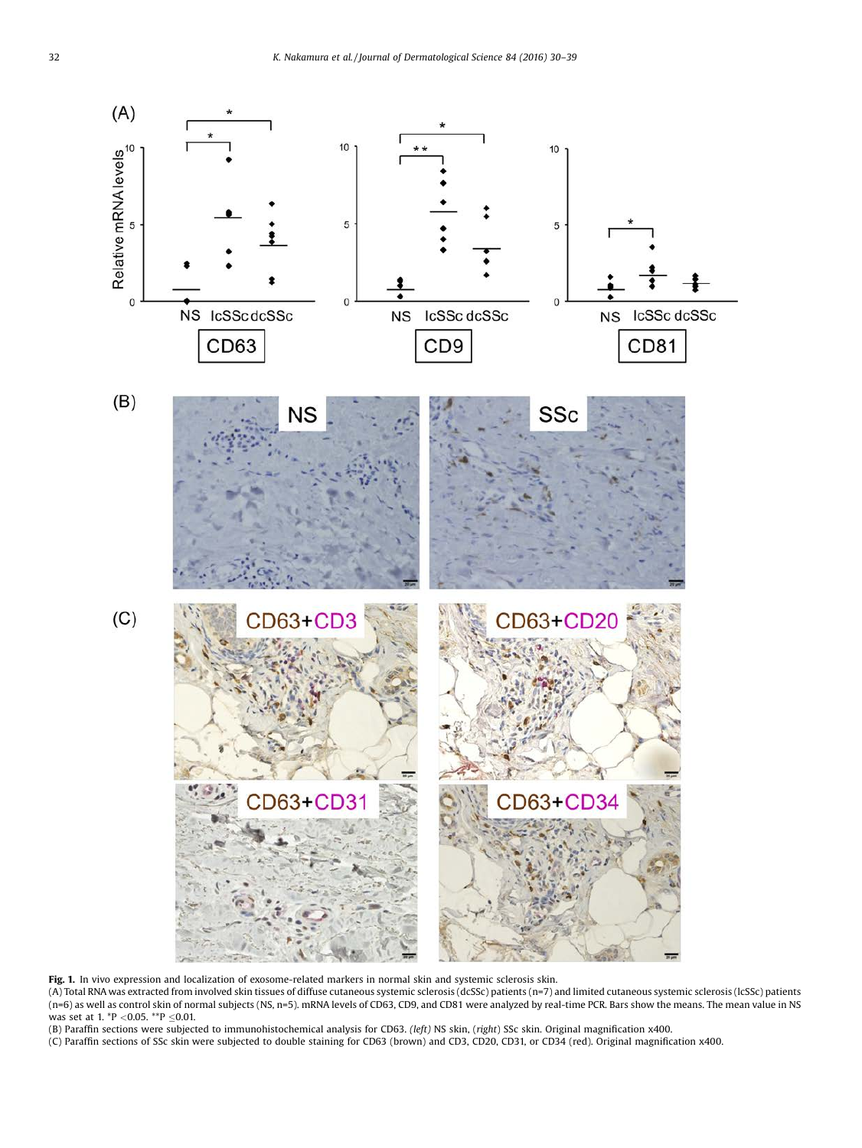<span id="page-2-0"></span>

Fig. 1. In vivo expression and localization of exosome-related markers in normal skin and systemic sclerosis skin.

(A) Total RNA was extracted from involved skin tissues of diffuse cutaneous systemic sclerosis (dcSSc) patients (n=7) and limited cutaneous systemic sclerosis (lcSSc) patients (n=6) as well as control skin of normal subjects (NS, n=5). mRNA levels of CD63, CD9, and CD81 were analyzed by real-time PCR. Bars show the means. The mean value in NS was set at 1.  $^{\ast}P$  < 0.05.  $^{\ast\ast}P$   $\leq$  0.01.

(B) Paraffin sections were subjected to immunohistochemical analysis for CD63. (left) NS skin, (right) SSc skin. Original magnification x400.

(C) Paraffin sections of SSc skin were subjected to double staining for CD63 (brown) and CD3, CD20, CD31, or CD34 (red). Original magnification x400.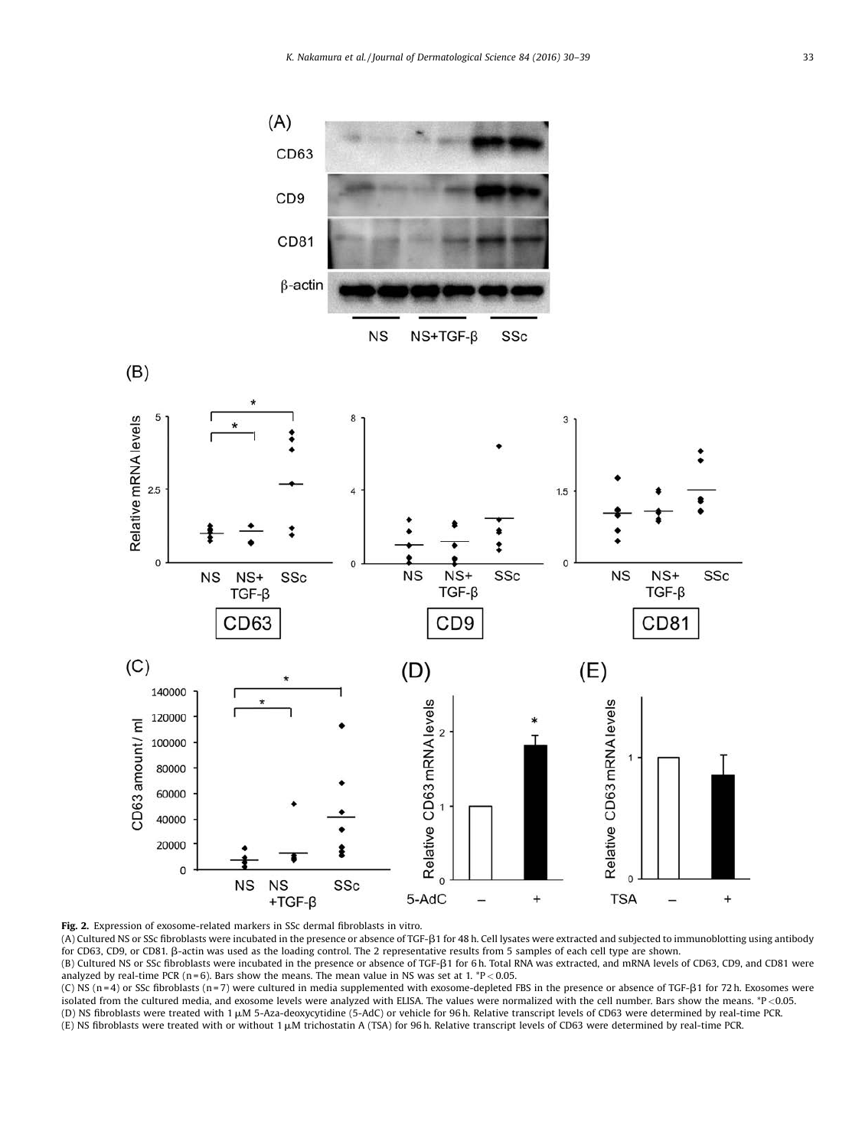<span id="page-3-0"></span>

NS+TGF-<sub>B</sub> **NS SSc** 

 $(B)$ 





(A) Cultured NS or SSc fibroblasts were incubated in the presence or absence of TGF-b1 for 48 h. Cell lysates were extracted and subjected to immunoblotting using antibody for CD63, CD9, or CD81. β-actin was used as the loading control. The 2 representative results from 5 samples of each cell type are shown.

(B) Cultured NS or SSc fibroblasts were incubated in the presence or absence of TGF-b1 for 6 h. Total RNA was extracted, and mRNA levels of CD63, CD9, and CD81 were analyzed by real-time PCR (n=6). Bars show the means. The mean value in NS was set at 1. \*P < 0.05.

(C) NS  $(n=4)$  or SSc fibroblasts  $(n=7)$  were cultured in media supplemented with exosome-depleted FBS in the presence or absence of TGF- $\beta$ 1 for 72 h. Exosomes were isolated from the cultured media, and exosome levels were analyzed with ELISA. The values were normalized with the cell number. Bars show the means. \*P <0.05. (D) NS fibroblasts were treated with 1 µM 5-Aza-deoxycytidine (5-AdC) or vehicle for 96 h. Relative transcript levels of CD63 were determined by real-time PCR. (E) NS fibroblasts were treated with or without 1 $\mu$ M trichostatin A (TSA) for 96 h. Relative transcript levels of CD63 were determined by real-time PCR.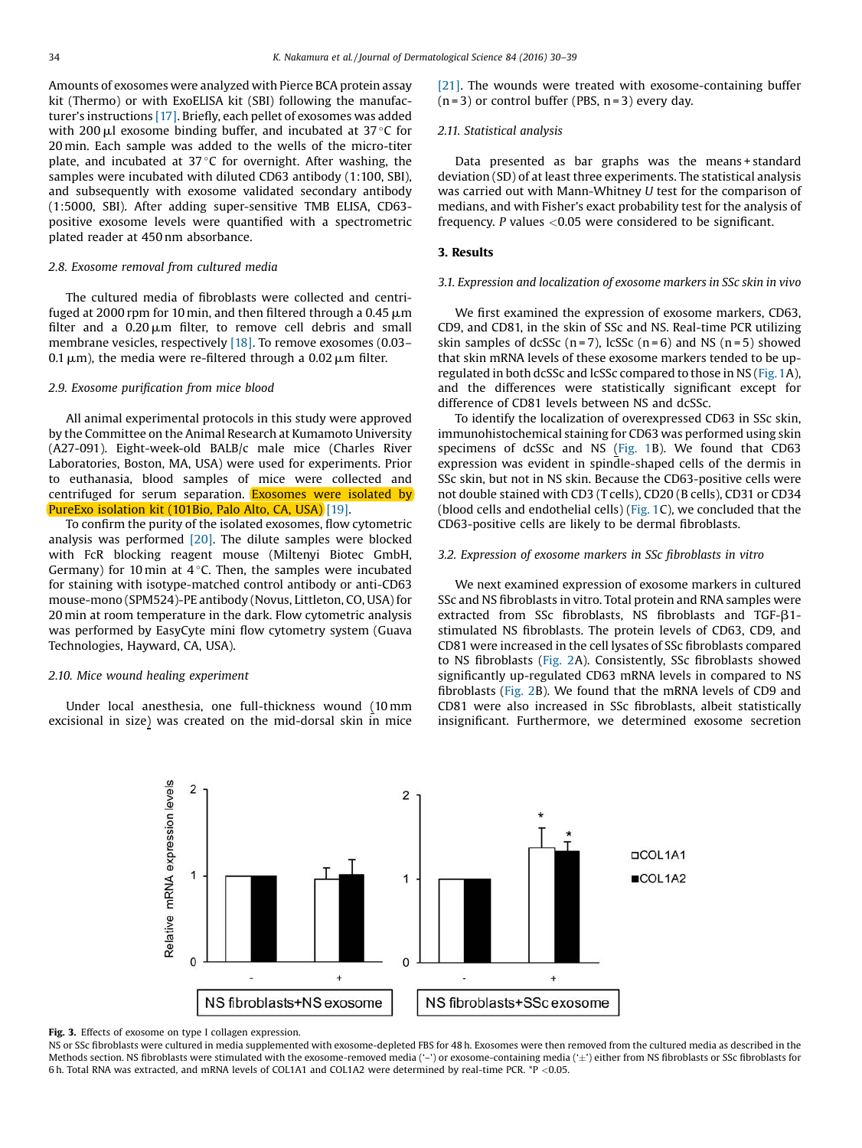<span id="page-4-0"></span>Amounts of exosomes were analyzed with Pierce BCA protein assay kit (Thermo) or with ExoELISA kit (SBI) following the manufacturer's instructions [\[17\]](#page-9-0). Briefly, each pellet of exosomes was added with 200 $\mu$ l exosome binding buffer, and incubated at 37 $\degree$ C for 20 min. Each sample was added to the wells of the micro-titer plate, and incubated at 37 $\degree$ C for overnight. After washing, the samples were incubated with diluted CD63 antibody (1:100, SBI), and subsequently with exosome validated secondary antibody (1:5000, SBI). After adding super-sensitive TMB ELISA, CD63 positive exosome levels were quantified with a spectrometric plated reader at 450 nm absorbance.

## 2.8. Exosome removal from cultured media

The cultured media of fibroblasts were collected and centrifuged at 2000 rpm for 10 min, and then filtered through a 0.45  $\mu$ m filter and a  $0.20 \mu m$  filter, to remove cell debris and small membrane vesicles, respectively [\[18\]](#page-9-0). To remove exosomes (0.03– 0.1  $\mu$ m), the media were re-filtered through a 0.02  $\mu$ m filter.

# 2.9. Exosome purification from mice blood

All animal experimental protocols in this study were approved by the Committee on the Animal Research at Kumamoto University (A27-091). Eight-week-old BALB/c male mice (Charles River Laboratories, Boston, MA, USA) were used for experiments. Prior to euthanasia, blood samples of mice were collected and centrifuged for serum separation. **Exosomes were isolated by** PureExo isolation kit (101Bio, Palo Alto, CA, USA) [\[19\]](#page-9-0).

To confirm the purity of the isolated exosomes, flow cytometric analysis was performed [\[20\]](#page-9-0). The dilute samples were blocked with FcR blocking reagent mouse (Miltenyi Biotec GmbH, Germany) for 10 min at  $4^{\circ}$ C. Then, the samples were incubated for staining with isotype-matched control antibody or anti-CD63 mouse-mono (SPM524)-PE antibody (Novus, Littleton, CO, USA) for 20 min at room temperature in the dark. Flow cytometric analysis was performed by EasyCyte mini flow cytometry system (Guava Technologies, Hayward, CA, USA).

# 2.10. Mice wound healing experiment

Under local anesthesia, one full-thickness wound (10 mm excisional in size) was created on the mid-dorsal skin in mice [\[21\]](#page-9-0). The wounds were treated with exosome-containing buffer  $(n=3)$  or control buffer (PBS,  $n=3$ ) every day.

# 2.11. Statistical analysis

Data presented as bar graphs was the means + standard deviation (SD) of at least three experiments. The statistical analysis was carried out with Mann-Whitney U test for the comparison of medians, and with Fisher's exact probability test for the analysis of frequency. P values  $<$  0.05 were considered to be significant.

# 3. Results

# 3.1. Expression and localization of exosome markers in SSc skin in vivo

We first examined the expression of exosome markers, CD63, CD9, and CD81, in the skin of SSc and NS. Real-time PCR utilizing skin samples of dcSSc (n=7), lcSSc (n=6) and NS (n=5) showed that skin mRNA levels of these exosome markers tended to be upregulated in both dcSSc and lcSSc compared to those in NS [\(Fig. 1](#page-2-0)A), and the differences were statistically significant except for difference of CD81 levels between NS and dcSSc.

To identify the localization of overexpressed CD63 in SSc skin, immunohistochemical staining for CD63 was performed using skin specimens of dcSSc and NS [\(Fig.](#page-2-0) 1B). We found that CD63 expression was evident in spindle-shaped cells of the dermis in SSc skin, but not in NS skin. Because the CD63-positive cells were not double stained with CD3 (T cells), CD20 (B cells), CD31 or CD34 (blood cells and endothelial cells) [\(Fig.](#page-2-0) 1C), we concluded that the CD63-positive cells are likely to be dermal fibroblasts.

### 3.2. Expression of exosome markers in SSc fibroblasts in vitro

We next examined expression of exosome markers in cultured SSc and NS fibroblasts in vitro. Total protein and RNA samples were extracted from SSc fibroblasts, NS fibroblasts and TGF- $\beta$ 1stimulated NS fibroblasts. The protein levels of CD63, CD9, and CD81 were increased in the cell lysates of SSc fibroblasts compared to NS fibroblasts [\(Fig.](#page-3-0) 2A). Consistently, SSc fibroblasts showed significantly up-regulated CD63 mRNA levels in compared to NS fibroblasts ([Fig.](#page-3-0) 2B). We found that the mRNA levels of CD9 and CD81 were also increased in SSc fibroblasts, albeit statistically insignificant. Furthermore, we determined exosome secretion



Fig. 3. Effects of exosome on type I collagen expression.

NS or SSc fibroblasts were cultured in media supplemented with exosome-depleted FBS for 48 h. Exosomes were then removed from the cultured media as described in the Methods section. NS fibroblasts were stimulated with the exosome-removed media ('-') or exosome-containing media ('+') either from NS fibroblasts or SSc fibroblasts for 6 h. Total RNA was extracted, and mRNA levels of COL1A1 and COL1A2 were determined by real-time PCR. \*P <0.05.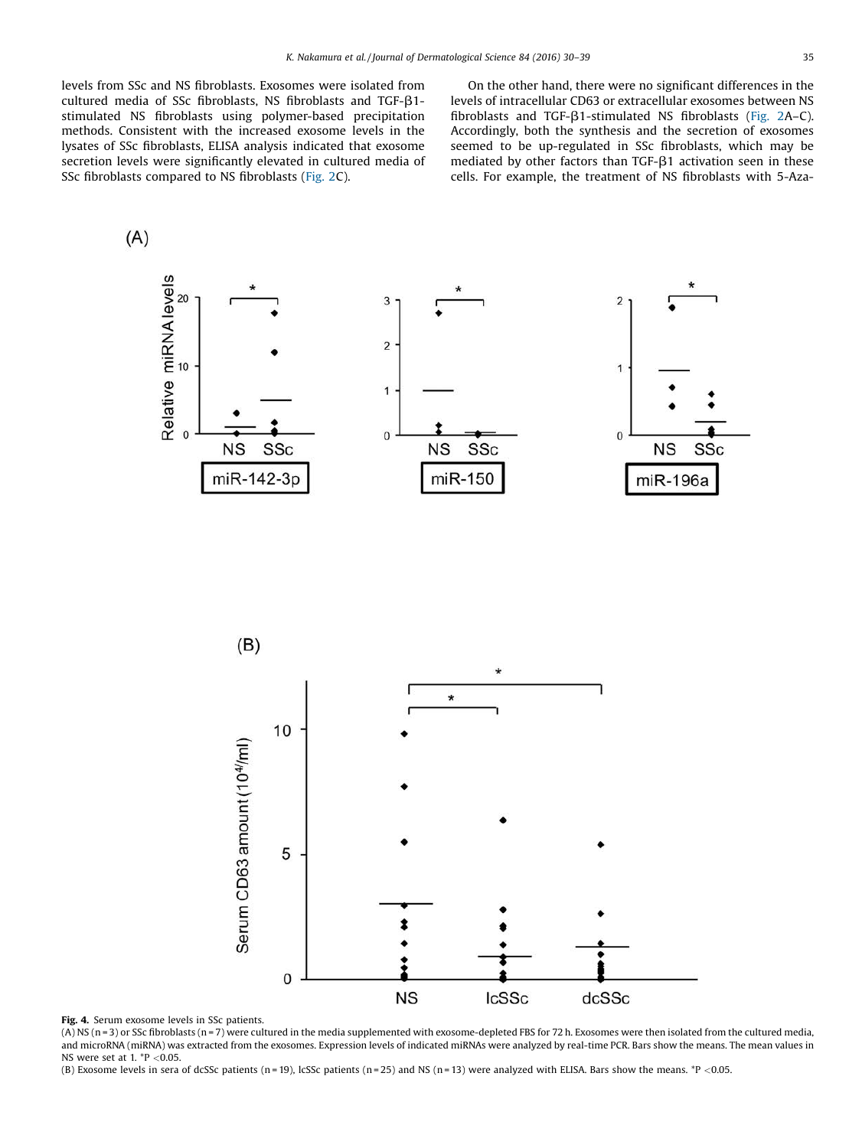<span id="page-5-0"></span>levels from SSc and NS fibroblasts. Exosomes were isolated from cultured media of SSc fibroblasts, NS fibroblasts and TGF- $\beta$ 1stimulated NS fibroblasts using polymer-based precipitation methods. Consistent with the increased exosome levels in the lysates of SSc fibroblasts, ELISA analysis indicated that exosome secretion levels were significantly elevated in cultured media of SSc fibroblasts compared to NS fibroblasts [\(Fig.](#page-3-0) 2C).

On the other hand, there were no significant differences in the levels of intracellular CD63 or extracellular exosomes between NS fibroblasts and TGF- $\beta$ 1-stimulated NS fibroblasts ([Fig.](#page-3-0) 2A–C). Accordingly, both the synthesis and the secretion of exosomes seemed to be up-regulated in SSc fibroblasts, which may be mediated by other factors than TGF- $\beta$ 1 activation seen in these cells. For example, the treatment of NS fibroblasts with 5-Aza-





Fig. 4. Serum exosome levels in SSc patients.

(A) NS (n = 3) or SSc fibroblasts (n = 7) were cultured in the media supplemented with exosome-depleted FBS for 72 h. Exosomes were then isolated from the cultured media, and microRNA (miRNA) was extracted from the exosomes. Expression levels of indicated miRNAs were analyzed by real-time PCR. Bars show the means. The mean values in NS were set at 1.  $^{*}P$  < 0.05.

(B) Exosome levels in sera of dcSSc patients (n = 19), lcSSc patients (n = 25) and NS (n = 13) were analyzed with ELISA. Bars show the means. \*P < 0.05.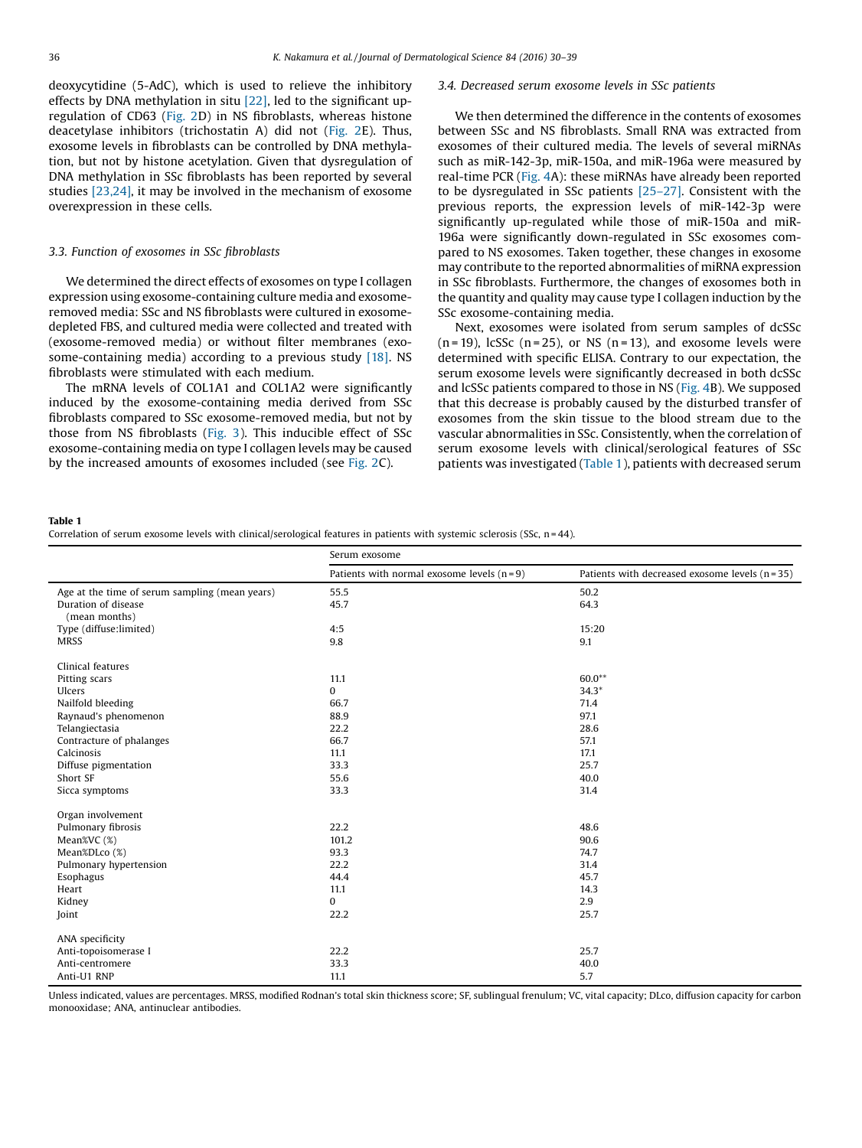deoxycytidine (5-AdC), which is used to relieve the inhibitory effects by DNA methylation in situ [\[22\],](#page-9-0) led to the significant upregulation of CD63 [\(Fig.](#page-3-0) 2D) in NS fibroblasts, whereas histone deacetylase inhibitors (trichostatin A) did not [\(Fig.](#page-3-0) 2E). Thus, exosome levels in fibroblasts can be controlled by DNA methylation, but not by histone acetylation. Given that dysregulation of DNA methylation in SSc fibroblasts has been reported by several studies [\[23,24\],](#page-9-0) it may be involved in the mechanism of exosome overexpression in these cells.

## 3.3. Function of exosomes in SSc fibroblasts

We determined the direct effects of exosomes on type I collagen expression using exosome-containing culture media and exosomeremoved media: SSc and NS fibroblasts were cultured in exosomedepleted FBS, and cultured media were collected and treated with (exosome-removed media) or without filter membranes (exosome-containing media) according to a previous study [\[18\]](#page-9-0). NS fibroblasts were stimulated with each medium.

The mRNA levels of COL1A1 and COL1A2 were significantly induced by the exosome-containing media derived from SSc fibroblasts compared to SSc exosome-removed media, but not by those from NS fibroblasts [\(Fig.](#page-4-0) 3). This inducible effect of SSc exosome-containing media on type I collagen levels may be caused by the increased amounts of exosomes included (see [Fig.](#page-3-0) 2C).

#### 3.4. Decreased serum exosome levels in SSc patients

We then determined the difference in the contents of exosomes between SSc and NS fibroblasts. Small RNA was extracted from exosomes of their cultured media. The levels of several miRNAs such as miR-142-3p, miR-150a, and miR-196a were measured by real-time PCR [\(Fig.](#page-5-0) 4A): these miRNAs have already been reported to be dysregulated in SSc patients [\[25](#page-9-0)–27]. Consistent with the previous reports, the expression levels of miR-142-3p were significantly up-regulated while those of miR-150a and miR-196a were significantly down-regulated in SSc exosomes compared to NS exosomes. Taken together, these changes in exosome may contribute to the reported abnormalities of miRNA expression in SSc fibroblasts. Furthermore, the changes of exosomes both in the quantity and quality may cause type I collagen induction by the SSc exosome-containing media.

Next, exosomes were isolated from serum samples of dcSSc  $(n = 19)$ , lcSSc  $(n = 25)$ , or NS  $(n = 13)$ , and exosome levels were determined with specific ELISA. Contrary to our expectation, the serum exosome levels were significantly decreased in both dcSSc and lcSSc patients compared to those in NS ([Fig.](#page-5-0) 4B). We supposed that this decrease is probably caused by the disturbed transfer of exosomes from the skin tissue to the blood stream due to the vascular abnormalities in SSc. Consistently, when the correlation of serum exosome levels with clinical/serological features of SSc patients was investigated (Table 1), patients with decreased serum

#### Table 1

Correlation of serum exosome levels with clinical/serological features in patients with systemic sclerosis (SSc, n = 44).

|                                                | Serum exosome                               |                                                 |
|------------------------------------------------|---------------------------------------------|-------------------------------------------------|
|                                                | Patients with normal exosome levels $(n=9)$ | Patients with decreased exosome levels $(n=35)$ |
| Age at the time of serum sampling (mean years) | 55.5                                        | 50.2                                            |
| Duration of disease                            | 45.7                                        | 64.3                                            |
| (mean months)                                  |                                             |                                                 |
| Type (diffuse:limited)                         | 4:5                                         | 15:20                                           |
| <b>MRSS</b>                                    | 9.8                                         | 9.1                                             |
| Clinical features                              |                                             |                                                 |
| Pitting scars                                  | 11.1                                        | $60.0**$                                        |
| Ulcers                                         | 0                                           | $34.3*$                                         |
| Nailfold bleeding                              | 66.7                                        | 71.4                                            |
| Raynaud's phenomenon                           | 88.9                                        | 97.1                                            |
| Telangiectasia                                 | 22.2                                        | 28.6                                            |
| Contracture of phalanges                       | 66.7                                        | 57.1                                            |
| Calcinosis                                     | 11.1                                        | 17.1                                            |
| Diffuse pigmentation                           | 33.3                                        | 25.7                                            |
| Short SF                                       | 55.6                                        | 40.0                                            |
| Sicca symptoms                                 | 33.3                                        | 31.4                                            |
| Organ involvement                              |                                             |                                                 |
| Pulmonary fibrosis                             | 22.2                                        | 48.6                                            |
| Mean%VC (%)                                    | 101.2                                       | 90.6                                            |
| Mean%DLco (%)                                  | 93.3                                        | 74.7                                            |
| Pulmonary hypertension                         | 22.2                                        | 31.4                                            |
| Esophagus                                      | 44.4                                        | 45.7                                            |
| Heart                                          | 11.1                                        | 14.3                                            |
| Kidney                                         | $\mathbf{0}$                                | 2.9                                             |
| Joint                                          | 22.2                                        | 25.7                                            |
| ANA specificity                                |                                             |                                                 |
| Anti-topoisomerase I                           | 22.2                                        | 25.7                                            |
| Anti-centromere                                | 33.3                                        | 40.0                                            |
| Anti-U1 RNP                                    | 11.1                                        | 5.7                                             |

Unless indicated, values are percentages. MRSS, modified Rodnan's total skin thickness score; SF, sublingual frenulum; VC, vital capacity; DLco, diffusion capacity for carbon monooxidase; ANA, antinuclear antibodies.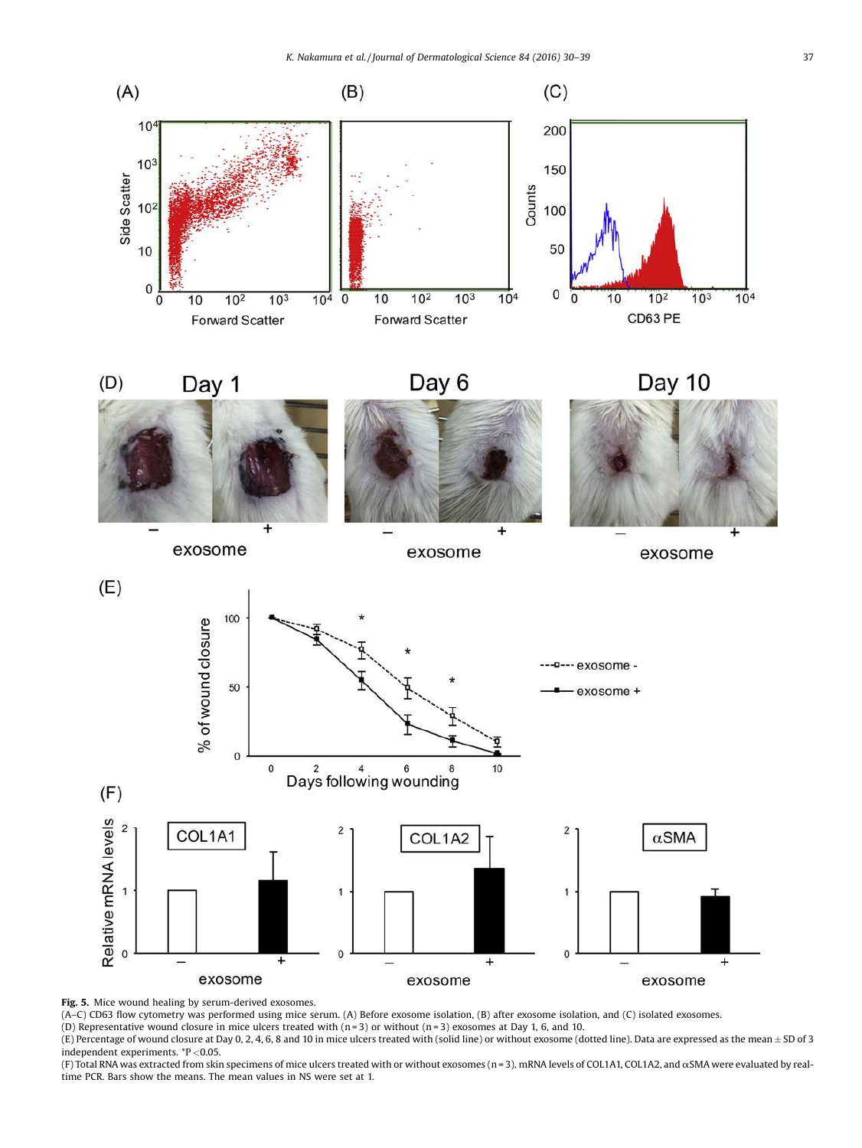<span id="page-7-0"></span>

Fig. 5. Mice wound healing by serum-derived exosomes.

(A–C) CD63 flow cytometry was performed using mice serum. (A) Before exosome isolation, (B) after exosome isolation, and (C) isolated exosomes.

(D) Representative wound closure in mice ulcers treated with  $(n=3)$  or without  $(n=3)$  exosomes at Day 1, 6, and 10.

(E) Percentage of wound closure at Day 0, 2, 4, 6, 8 and 10 in mice ulcers treated with (solid line) or without exosome (dotted line). Data are expressed as the mean  $\pm$  SD of 3 independent experiments. \*P <0.05.

(F) Total RNA was extracted from skin specimens of mice ulcers treated with or without exosomes (n = 3). mRNA levels of COL1A1, COL1A2, and aSMA were evaluated by realtime PCR. Bars show the means. The mean values in NS were set at 1.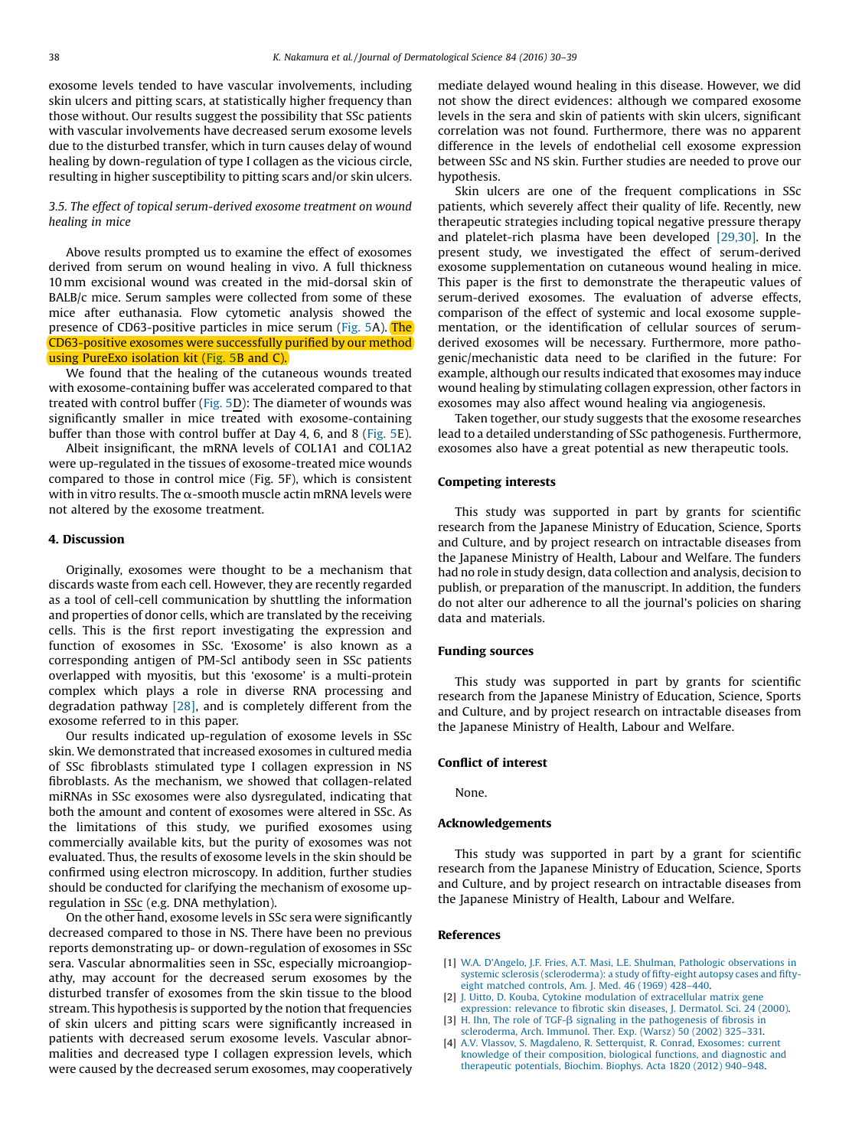<span id="page-8-0"></span>exosome levels tended to have vascular involvements, including skin ulcers and pitting scars, at statistically higher frequency than those without. Our results suggest the possibility that SSc patients with vascular involvements have decreased serum exosome levels due to the disturbed transfer, which in turn causes delay of wound healing by down-regulation of type I collagen as the vicious circle, resulting in higher susceptibility to pitting scars and/or skin ulcers.

# 3.5. The effect of topical serum-derived exosome treatment on wound healing in mice

Above results prompted us to examine the effect of exosomes derived from serum on wound healing in vivo. A full thickness 10 mm excisional wound was created in the mid-dorsal skin of BALB/c mice. Serum samples were collected from some of these mice after euthanasia. Flow cytometic analysis showed the presence of CD63-positive particles in mice serum [\(Fig.](#page-7-0) 5A). The CD63-positive exosomes were successfully purified by our method using PureExo isolation kit ([Fig.](#page-7-0) 5B and C).

We found that the healing of the cutaneous wounds treated with exosome-containing buffer was accelerated compared to that treated with control buffer ([Fig.](#page-7-0) 5D): The diameter of wounds was significantly smaller in mice treated with exosome-containing buffer than those with control buffer at Day 4, 6, and 8 ([Fig.](#page-7-0) 5E).

Albeit insignificant, the mRNA levels of COL1A1 and COL1A2 were up-regulated in the tissues of exosome-treated mice wounds compared to those in control mice (Fig. 5F), which is consistent with in vitro results. The  $\alpha$ -smooth muscle actin mRNA levels were not altered by the exosome treatment.

#### 4. Discussion

Originally, exosomes were thought to be a mechanism that discards waste from each cell. However, they are recently regarded as a tool of cell-cell communication by shuttling the information and properties of donor cells, which are translated by the receiving cells. This is the first report investigating the expression and function of exosomes in SSc. 'Exosome' is also known as a corresponding antigen of PM-Scl antibody seen in SSc patients overlapped with myositis, but this 'exosome' is a multi-protein complex which plays a role in diverse RNA processing and degradation pathway  $[28]$ , and is completely different from the exosome referred to in this paper.

Our results indicated up-regulation of exosome levels in SSc skin. We demonstrated that increased exosomes in cultured media of SSc fibroblasts stimulated type I collagen expression in NS fibroblasts. As the mechanism, we showed that collagen-related miRNAs in SSc exosomes were also dysregulated, indicating that both the amount and content of exosomes were altered in SSc. As the limitations of this study, we purified exosomes using commercially available kits, but the purity of exosomes was not evaluated. Thus, the results of exosome levels in the skin should be confirmed using electron microscopy. In addition, further studies should be conducted for clarifying the mechanism of exosome upregulation in SSc (e.g. DNA methylation).

On the other hand, exosome levels in SSc sera were significantly decreased compared to those in NS. There have been no previous reports demonstrating up- or down-regulation of exosomes in SSc sera. Vascular abnormalities seen in SSc, especially microangiopathy, may account for the decreased serum exosomes by the disturbed transfer of exosomes from the skin tissue to the blood stream. This hypothesis is supported by the notion that frequencies of skin ulcers and pitting scars were significantly increased in patients with decreased serum exosome levels. Vascular abnormalities and decreased type I collagen expression levels, which were caused by the decreased serum exosomes, may cooperatively mediate delayed wound healing in this disease. However, we did not show the direct evidences: although we compared exosome levels in the sera and skin of patients with skin ulcers, significant correlation was not found. Furthermore, there was no apparent difference in the levels of endothelial cell exosome expression between SSc and NS skin. Further studies are needed to prove our hypothesis.

Skin ulcers are one of the frequent complications in SSc patients, which severely affect their quality of life. Recently, new therapeutic strategies including topical negative pressure therapy and platelet-rich plasma have been developed [\[29,30\]](#page-9-0). In the present study, we investigated the effect of serum-derived exosome supplementation on cutaneous wound healing in mice. This paper is the first to demonstrate the therapeutic values of serum-derived exosomes. The evaluation of adverse effects, comparison of the effect of systemic and local exosome supplementation, or the identification of cellular sources of serumderived exosomes will be necessary. Furthermore, more pathogenic/mechanistic data need to be clarified in the future: For example, although our results indicated that exosomes may induce wound healing by stimulating collagen expression, other factors in exosomes may also affect wound healing via angiogenesis.

Taken together, our study suggests that the exosome researches lead to a detailed understanding of SSc pathogenesis. Furthermore, exosomes also have a great potential as new therapeutic tools.

# Competing interests

This study was supported in part by grants for scientific research from the Japanese Ministry of Education, Science, Sports and Culture, and by project research on intractable diseases from the Japanese Ministry of Health, Labour and Welfare. The funders had no role in study design, data collection and analysis, decision to publish, or preparation of the manuscript. In addition, the funders do not alter our adherence to all the journal's policies on sharing data and materials.

## Funding sources

This study was supported in part by grants for scientific research from the Japanese Ministry of Education, Science, Sports and Culture, and by project research on intractable diseases from the Japanese Ministry of Health, Labour and Welfare.

# Conflict of interest

None.

### Acknowledgements

This study was supported in part by a grant for scientific research from the Japanese Ministry of Education, Science, Sports and Culture, and by project research on intractable diseases from the Japanese Ministry of Health, Labour and Welfare.

# References

- [1] W.A. D'Angelo, J.F. Fries, A.T. Masi, L.E. Shulman, Pathologic [observations](http://refhub.elsevier.com/S0923-1811(16)30130-X/sbref0005) in systemic sclerosis [\(scleroderma\):](http://refhub.elsevier.com/S0923-1811(16)30130-X/sbref0005) a study of fifty-eight autopsy cases and fiftyeight [matched](http://refhub.elsevier.com/S0923-1811(16)30130-X/sbref0005) controls, Am. J. Med. 46 (1969) 428–440.
- [2] J. Uitto, D. Kouba, Cytokine modulation of [extracellular](http://refhub.elsevier.com/S0923-1811(16)30130-X/sbref0010) matrix gene [expression:](http://refhub.elsevier.com/S0923-1811(16)30130-X/sbref0010) relevance to fibrotic skin diseases, J. Dermatol. Sci. 24 (2000).
- [3] H. Ihn, The role of TGF- $\beta$  signaling in the [pathogenesis](http://refhub.elsevier.com/S0923-1811(16)30130-X/sbref0015) of fibrosis in [scleroderma,](http://refhub.elsevier.com/S0923-1811(16)30130-X/sbref0015) Arch. Immunol. Ther. Exp. (Warsz) 50 (2002) 325–331.
- [4] A.V. Vlassov, S. [Magdaleno,](http://refhub.elsevier.com/S0923-1811(16)30130-X/sbref0020) R. Setterquist, R. Conrad, Exosomes: current knowledge of their [composition,](http://refhub.elsevier.com/S0923-1811(16)30130-X/sbref0020) biological functions, and diagnostic and [therapeutic](http://refhub.elsevier.com/S0923-1811(16)30130-X/sbref0020) potentials, Biochim. Biophys. Acta 1820 (2012) 940–948.